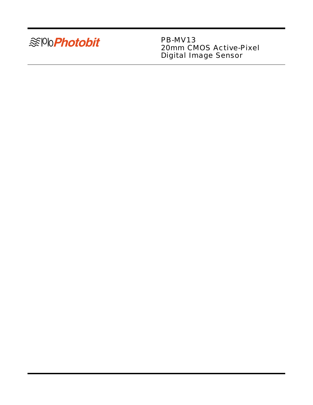

PB-MV13 20mm CMOS Active-Pixel Digital Image Sensor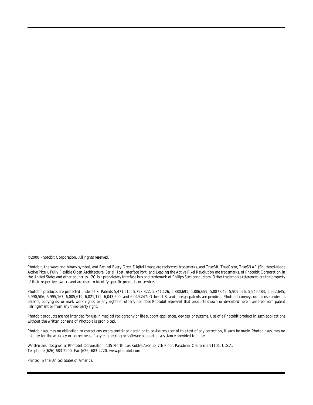©2000 Photobit Corporation. All rights reserved.

Photobit, the wave and binary symbol, and Behind Every Great Digital Image are registered trademarks, and TrueBit, TrueColor, TrueSNAP (Shuttered-Node Active Pixel), Fully Flexible Open Architecture, Serial Host Interface Port, and Leading the Active Pixel Revolution are trademarks, of Photobit Corporation in the United States and other countries. I2C is a proprietary interface bus and trademark of Philips Semiconductors. Other trademarks referenced are the property of their respective owners and are used to identify specific products or services.

Photobit products are protected under U.S. Patents 5,471,515; 5,793,322; 5,841,126; 5,880,691; 5,886,659; 5,887,049; 5,909,026; 5,949,483; 5,952,645; 5,990,506; 5,995,163; 6,005,619; 6,021,172; 6,043,690; and 6,049,247. Other U.S. and foreign patents are pending. Photobit conveys no license under its patents, copyrights, or mask work rights, or any rights of others; nor does Photobit represent that products shown or described herein are free from patent infringement or from any third-party right.

Photobit products are not intended for use in medical radiography or life support appliances, devices, or systems. Use of a Photobit product in such applications without the written consent of Photobit is prohibited.

Photobit assumes no obligation to correct any errors contained herein or to advise any user of this text of any correction, if such be made. Photobit assumes no liability for the accuracy or correctness of any engineering or software support or assistance provided to a user.

Written and designed at Photobit Corporation, 135 North Los Robles Avenue, 7th Floor, Pasadena, California 91101, U.S.A. Telephone (626) 683-2200. Fax (626) 683-2220. www.photobit.com

Printed in the United States of America.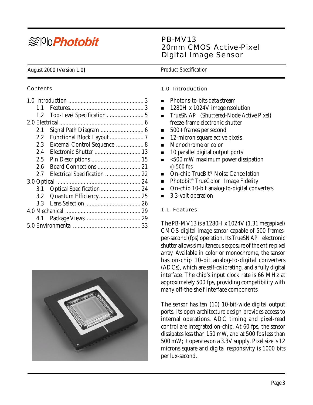# <sup>≋®</sup>®Photobit

## PB-MV13 20mm CMOS Active-Pixel Digital Image Sensor

#### August 2000 (Version 1.0) **Product Specification**

#### **Contents**

| 1.1              |                              |
|------------------|------------------------------|
| 1.2              |                              |
|                  |                              |
| 2.1              |                              |
| 2.2              |                              |
| 2.3              | External Control Sequence  8 |
| 2.4              | Electronic Shutter  13       |
| 2.5              |                              |
| $2.6\,$          | Board Connections  21        |
| 2.7              | Electrical Specification  22 |
|                  |                              |
| 3.1              |                              |
| 3.2 <sub>1</sub> |                              |
| 3.3              |                              |
|                  |                              |
| 4.1              |                              |
|                  |                              |



#### 1.0 Introduction

- Photons-to-bits data stream
- 1280H x 1024V image resolution
- $\blacksquare$  TrueSNAP<sup>M</sup> (Shuttered-Node Active Pixel) freeze-frame electronic shutter
- 500+ frames per second
- 12-micron square active pixels
- **Monochrome or color**
- 10 parallel digital output ports
- $\sim 500$  mW maximum power dissipation @ 500 fps
- On-chip TrueBit<sup>®</sup> Noise Cancellation
- **Photobit<sup>®</sup> TrueColor<sup>™</sup> Image Fidelity**
- On-chip 10-bit analog-to-digital converters
- 3.3-volt operation

#### 1.1 Features

The PB-MV13 is a 1280H x 1024V (1.31 megapixel) CMOS digital image sensor capable of 500 frames $per-second$  (fps) operation. Its TrueSNAP<sup> $M$ </sup> electronic shutter allows simultaneous exposure of the entire pixel array. Available in color or monochrome, the sensor has on-chip 10-bit analog-to-digital converters (ADCs), which are self-calibrating, and a fully digital interface. The chip's input clock rate is 66 MHz at approximately 500 fps, providing compatibility with many off-the-shelf interface components.

The sensor has ten (10) 10-bit-wide digital output ports. Its open architecture design provides access to internal operations. ADC timing and pixel-read control are integrated on-chip. At 60 fps, the sensor dissipates less than 150 mW, and at 500 fps less than 500 mW; it operates on a 3.3V supply. Pixel size is 12 microns square and digital responsivity is 1000 bits per lux-second.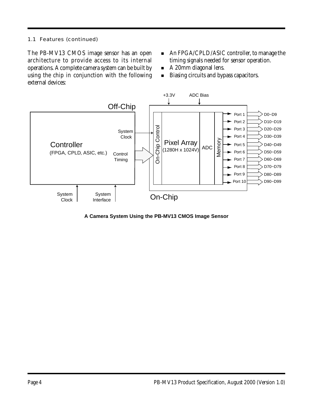## 1.1 Features (continued)

The PB-MV13 CMOS image sensor has an open architecture to provide access to its internal operations. A complete camera system can be built by using the chip in conjunction with the following external devices:

- An FPGA/CPLD/ASIC controller, to manage the timing signals needed for sensor operation.
- A 20mm diagonal lens.
- Biasing circuits and bypass capacitors.



**A Camera System Using the PB-MV13 CMOS Image Sensor**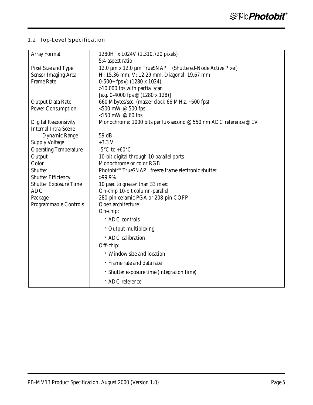## 1.2 Top-Level Specification

| <b>Array Format</b>          | 1280H x 1024V (1,310,720 pixels)                                    |
|------------------------------|---------------------------------------------------------------------|
|                              | 5:4 aspect ratio                                                    |
| Pixel Size and Type          | 12.0 μm x 12.0 μm TrueSNAP™ (Shuttered-Node Active Pixel)           |
| <b>Sensor Imaging Area</b>   | H: 15.36 mm, V: 12.29 mm, Diagonal: 19.67 mm                        |
| <b>Frame Rate</b>            | $0-500+$ fps @ (1280 x 1024)                                        |
|                              | $>10,000$ fps with partial scan                                     |
|                              | [e.g. 0-4000 fps @ $(1280 \times 128)$ ]                            |
| <b>Output Data Rate</b>      | 660 Mbytes/sec. (master clock 66 MHz, ~500 fps)                     |
| <b>Power Consumption</b>     | <500 mW $@$ 500 fps                                                 |
|                              | <150 mW $@$ 60 fps                                                  |
| <b>Digital Responsivity</b>  | Monochrome: 1000 bits per lux-second @ 550 nm ADC reference @ 1V    |
| <b>Internal Intra-Scene</b>  |                                                                     |
| <b>Dynamic Range</b>         | 59 dB                                                               |
| <b>Supply Voltage</b>        | $+3.3 V$<br>-5°C to +60°C                                           |
| <b>Operating Temperature</b> |                                                                     |
| Output<br>Color              | 10-bit digital through 10 parallel ports<br>Monochrome or color RGB |
| <b>Shutter</b>               | Photobit <sup>®</sup> TrueSNAP™ freeze-frame electronic shutter     |
| <b>Shutter Efficiency</b>    | >99.9%                                                              |
| <b>Shutter Exposure Time</b> | 10 usec to greater than 33 msec                                     |
| <b>ADC</b>                   | On-chip 10-bit column-parallel                                      |
| Package                      | 280-pin ceramic PGA or 208-pin CQFP                                 |
| Programmable Controls        | Open architecture                                                   |
|                              | On-chip:                                                            |
|                              | · ADC controls                                                      |
|                              | $\cdot$ Output multiplexing                                         |
|                              | · ADC calibration                                                   |
|                              | Off-chip:                                                           |
|                              | · Window size and location                                          |
|                              | · Frame rate and data rate                                          |
|                              | · Shutter exposure time (integration time)                          |
|                              | · ADC reference                                                     |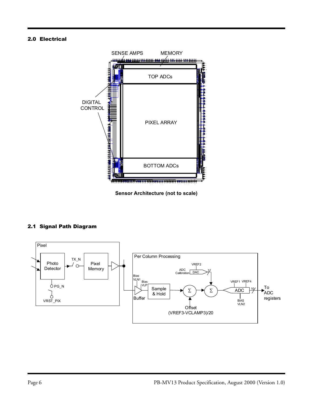#### 2.0 Electrical



**Sensor Architecture (not to scale)**

### 2.1 Signal Path Diagram

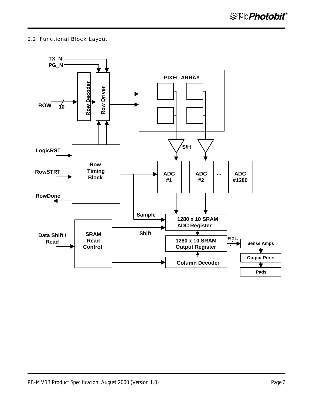#### 2.2 Functional Block Layout

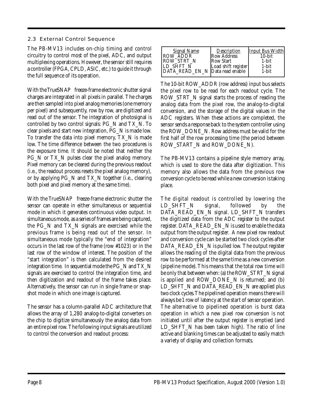#### 2.3 External Control Sequence

The PB-MV13 includes on-chip timing and control circuitry to control most of the pixel, ADC, and output multiplexing operations. However, the sensor still requires a controller (FPGA, CPLD, ASIC, etc.) to guide it through the full sequence of its operation.

With the TrueSNAP $^{\!\!\mathrm{m}}$  freeze-frame electronic shutter signal charges are integrated in all pixels in parallel. The charges are then sampled into pixel analog memories (one memory per pixel) and subsequently, row by row, are digitized and read out of the sensor. The integration of photosignal is controlled by two control signals: PG\_N and TX\_N. To clear pixels and start new integration, PG\_N is made low. To transfer the data into pixel memory, TX\_N is made low. The time difference between the two procedures is the exposure time. It should be noted that neither the PG\_N or TX\_N pulses clear the pixel analog memory. Pixel memory can be cleared during the previous readout (i.e., the readout process resets the pixel analog memory), or by applying PG\_N and TX\_N together (i.e., clearing both pixel and pixel memory at the same time).

With the TrueSNAP<sup> $M$ </sup> freeze-frame electronic shutter the sensor can operate in either simultaneous or sequential mode in which it generates continuous video output. In simultaneous mode, as a series of frames are being captured, the PG\_N and TX\_N signals are exercised while the previous frame is being read out of the sensor. In simultaneous mode typically the "end of integration" occurs in the last row of the frame (row #1023) or in the last row of the window of interest. The position of the "start integration" is then calculated from the desired integration time. In sequential mode the PG\_N and TX\_N signals are exercised to control the integration time, and then digitization and readout of the frame takes place. Alternatively, the sensor can run in single frame or snapshot mode in which one image is captured.

The sensor has a column-parallel ADC architecture that allows the array of 1,280 analog-to-digital converters on the chip to digitize simultaneously the analog data from an entire pixel row. The following input signals are utilized to control the conversion and readout process:

The 10-bit ROW\_ADDR (row address) input bus selects the pixel row to be read for each readout cycle. The ROW\_STRT\_N signal starts the process of reading the analog data from the pixel row, the analog-to-digital conversion, and the storage of the digital values in the ADC registers. When these actions are completed, the sensor sends a response back to the system controller using the ROW\_DONE\_N. Row address must be valid for the first half of the row processing time (the period between ROW\_START\_N and ROW\_DONE\_N).

The PB-MV13 contains a pipeline style memory array, which is used to store the data after digitization. This memory also allows the data from the previous row conversion cycle to be read while a new conversion is taking place.

The digital readout is controlled by lowering the LD SHFT N signal, followed by the DATA\_READ\_EN\_N signal. LD\_SHFT\_N transfers the digitized data from the ADC register to the output register. DATA\_READ\_EN\_N is used to enable the data output from the output register. A new pixel row readout and conversion cycle can be started two clock cycles after DATA\_READ\_EN\_N is pulled low. The output register allows the reading of the digital data from the previous row to be performed at the same time as a new conversion (pipeline mode). This means that the total row time will be only that between when: (a) the ROW\_STRT\_N signal is applied and ROW\_DONE\_N is returned; and (b) LD\_SHFT\_N and DATA\_READ\_EN\_N are applied plus two clock cycles. The pipelined operation means there will always be 1 row of latency at the start of sensor operation. The alternative to pipelined operation is burst data operation in which a new pixel row conversion is not initiated until after the output register is emptied (and LD\_SHFT\_N has been taken high). The ratio of line active and blanking times can be adjusted to easily match a variety of display and collection formats.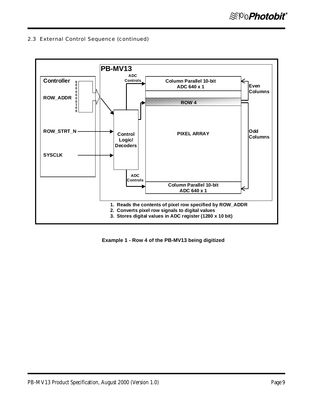

 **Example 1 - Row 4 of the PB-MV13 being digitized**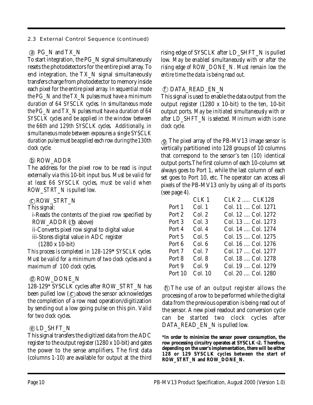## $\alpha$  PG\_N and TX\_N

To start integration, the PG\_N signal simultaneously resets the photodetectors for the entire pixel array. To end integration, the TX\_N signal simultaneously transfers charge from photodetector to memory inside each pixel for the entire pixel array. *In sequential mode the PG\_N and the TX\_N pulses must have a minimum duration of 64 SYSCLK cycles. In simultaneous mode the PG\_N and TX\_N pulses must have a duration of 64 SYSCLK cycles and be applied in the window between the 66th and 129th SYSCLK cycles. Additionally, in simultaneous mode between exposures a single SYSCLK duration pulse must be applied each row during the 130th clock cycle.*

## b ROW\_ADDR

The address for the pixel row to be read is input externally via this 10-bit input bus. *Must be valid for at least 66 SYSCLK cycles, must be valid when ROW\_STRT\_N is pulled low.*

c ROW\_STRT\_N

This signal:

i-Reads the contents of the pixel row specified by ROW ADDR (b above)

ii-Converts pixel row signal to digital value

iii-Stores digital value in ADC register

(1280 x 10-bit)

*This process is completed in 128-129***\*** *SYSCLK cycles. Must be valid for a minimum of two clock cycles and a maximum of 100 clock cycles.*

## d ROW\_DONE\_N

128-129\* SYSCLK cycles after ROW\_STRT\_N has been pulled low  $(C)$  above) the sensor acknowledges the completion of a row read operation/digitization by sending out a low going pulse on this pin. V*alid for two clock cycles.*

## $\odot$ LD\_SHFT\_N

This signal transfers the digitized data from the ADC register to the output register (1280 x 10-bit) and gates the power to the sense amplifiers. The first data (columns 1-10) are available for output at the third rising edge of SYSCLK after LD\_SHFT\_N is pulled low. *May be enabled simultaneously with or after the rising edge of ROW\_DONE\_N. Must remain low the entire time the data is being read out.*

## f DATA\_READ\_EN\_N

This signal is used to enable the data output from the output register (1280 x 10-bit) to the ten, 10-bit output ports. *May be initiated simultaneously with or after LD\_SHFT\_N is selected. Minimum width is one clock cycle.*

 $\langle \mathbf{g} \rangle$  The pixel array of the PB-MV13 image sensor is vertically partitioned into 128 groups of 10 columns that correspond to the sensor's ten (10) identical output ports.The first column of each 10-column set always goes to Port 1, while the last column of each set goes to Port 10, etc. The operator can access all pixels of the PB-MV13 only by using all of its ports (see page 4).

|         | CLK <sub>1</sub> | CLK 2  CLK128      |
|---------|------------------|--------------------|
| Port 1  | Col. 1           | Col. 11  Col. 1271 |
| Port 2  | Col. 2           | Col. 12  Col. 1272 |
| Port 3  | Col.3            | Col. 13  Col. 1273 |
| Port 4  | Col. 4           | Col. 14  Col. 1274 |
| Port 5  | Col. 5           | Col. 15  Col. 1275 |
| Port 6  | Col. 6           | Col. 16  Col. 1276 |
| Port 7  | Col. 7           | Col. 17  Col. 1277 |
| Port 8  | Col. 8           | Col. 18  Col. 1278 |
| Port 9  | Col. 9           | Col. 19  Col. 1279 |
| Port 10 | Col. 10          | Col. 20  Col. 1280 |

 h The use of an output register allows the processing of a row to be performed while the digital data from the previous operation is being read out of the sensor. A new pixel readout and conversion cycle can be started two clock cycles after DATA\_READ\_EN\_N is pulled low.

**\*In order to minimize the sensor power consumption, the row processing circuitry operates at SYSCLK**÷**2. Therefore, depending on the user's implementation, there will be either 128 or 129 SYSCLK cycles between the start of ROW\_STRT\_N and ROW\_DONE\_N.**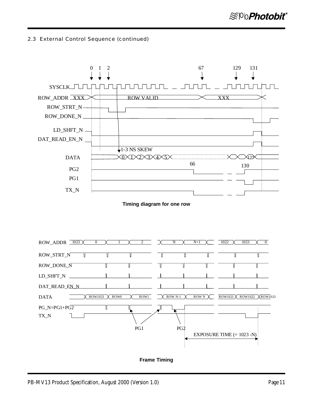

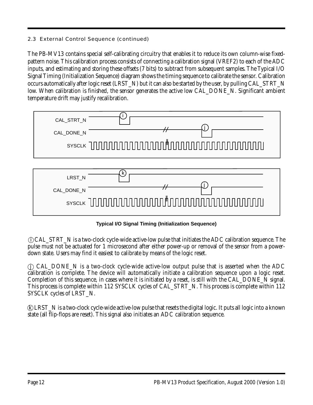The PB-MV13 contains special self-calibrating circuitry that enables it to reduce its own column-wise fixedpattern noise. This calibration process consists of connecting a calibration signal (VREF2) to each of the ADC inputs, and estimating and storing these offsets (7 bits) to subtract from subsequent samples. The Typical I/O Signal Timing (Initialization Sequence) diagram shows the timing sequence to calibrate the sensor. Calibration occurs automatically after logic reset (LRST\_N) but it can also be started by the user, by pulling CAL\_STRT\_N low. When calibration is finished, the sensor generates the active low CAL\_DONE\_N. Significant ambient temperature drift may justify recalibration.

| CAL_STRT_N<br>CAL_DONE_N |   |
|--------------------------|---|
|                          |   |
|                          |   |
| LRST_N                   | ĸ |
| CAL_DONE_N               |   |
|                          |   |

**Typical I/O Signal Timing (Initialization Sequence)**

 i CAL\_STRT\_N is a two-clock cycle-wide active-low pulse that initiates the ADC calibration sequence. The pulse must not be actuated for 1 microsecond after either power-up or removal of the sensor from a powerdown state. Users may find it easiest to calibrate by means of the logic reset.

 j CAL\_DONE\_N is a two-clock cycle-wide active-low output pulse that is asserted when the ADC calibration is complete. The device will automatically initiate a calibration sequence upon a logic reset. Completion of this sequence, in cases where it is initiated by a reset, is still with the CAL\_DONE\_N signal. This process is complete within 112 SYSCLK cycles of CAL\_STRT\_N. This process is complete within 112 SYSCLK cycles of LRST\_N.

 k LRST\_N is a two-clock cycle-wide active-low pulse that resets the digital logic. It puts all logic into a known state (all flip-flops are reset). This signal also initiates an ADC calibration sequence.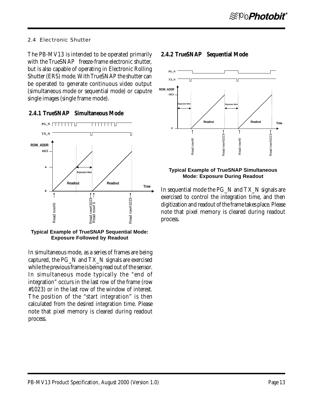#### 2.4 Electronic Shutter

The PB-MV13 is intended to be operated primarily with the  $TrueSNAP<sup>m</sup>$  freeze-frame electronic shutter, but is also capable of operating in Electronic Rolling Shutter (ERS) mode. With TrueSNAP the shutter can be operated to generate continuous video output (simultaneous mode or sequential mode) or caputre single images (single frame mode).

## **2.4.1 TrueSNAP<sup>™</sup> Simultaneous Mode**



**Typical Example of TrueSNAP Sequential Mode:**

In simultaneous mode, as a series of frames are being captured, the PG\_N and TX\_N signals are exercised while the previous frame is being read out of the sensor. In simultaneous mode typically the "end of integration" occurs in the last row of the frame (row #1023) or in the last row of the window of interest. The position of the "start integration" is then calculated from the desired integration time. Please note that pixel memory is cleared during readout process.

## **2.4.2 TrueSNAP<sup>™</sup> Sequential Mode**



#### **Typical Example of TrueSNAP Simultaneous Mode: Exposure During Readout**

In sequential mode the PG\_N and TX\_N signals are exercised to control the integration time, and then digitization and readout of the frame takes place. Please note that pixel memory is cleared during readout process.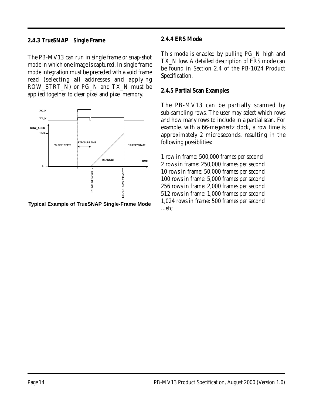## **2.4.3 TrueSNAP<sup>™</sup> Single Frame**

The PB-MV13 can run in single frame or snap-shot mode in which one image is captured. In single frame mode integration must be preceded wth a void frame read (selecting all addresses and applying ROW\_STRT\_N) or PG\_N and TX\_N must be applied together to clear pixel and pixel memory.



Typical Example of TrueSNAP Single-Frame Mode 1,024<br>etc...

## **2.4.4 ERS Mode**

This mode is enabled by pulling PG\_N high and TX N low. A detailed description of ERS mode can be found in Section 2.4 of the PB-1024 Product Specification.

## **2.4.5 Partial Scan Examples**

The PB-MV13 can be partially scanned by sub-sampling rows. The user may select which rows and how many rows to include in a partial scan. For example, with a 66-megahertz clock, a row time is approximately 2 microseconds, resulting in the following possiblities:

1 row in frame: 500,000 frames per second 2 rows in frame: 250,000 frames per second 10 rows in frame: 50,000 frames per second 100 rows in frame: 5,000 frames per second 256 rows in frame: 2,000 frames per second 512 rows in frame: 1,000 frames per second 1,024 rows in frame: 500 frames per second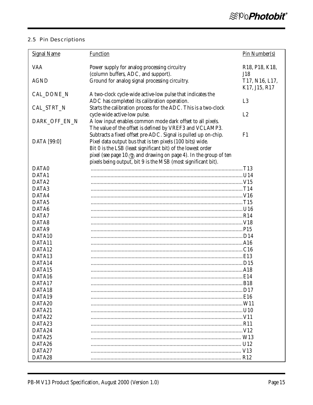## 2.5 Pin Descriptions

| <b>Signal Name</b> | <b>Function</b>                                                    | Pin Number(s)                                         |
|--------------------|--------------------------------------------------------------------|-------------------------------------------------------|
| <b>VAA</b>         | Power supply for analog processing circuitry                       | R <sub>18</sub> , P <sub>18</sub> , K <sub>18</sub> , |
|                    | (column buffers, ADC, and support).                                | J18                                                   |
| <b>AGND</b>        | Ground for analog signal processing circuitry.                     | T17, N16, L17,<br>K17, J15, R17                       |
| CAL_DONE_N         | A two-clock cycle-wide active-low pulse that indicates the         |                                                       |
|                    | ADC has completed its calibration operation.                       | L <sub>3</sub>                                        |
| CAL_STRT_N         | Starts the calibration process for the ADC. This is a two-clock    |                                                       |
|                    | cycle-wide active-low pulse.                                       | L2                                                    |
| DARK_OFF_EN_N      | A low input enables common mode dark offset to all pixels.         |                                                       |
|                    | The value of the offset is defined by VREF3 and VCLAMP3.           |                                                       |
|                    | Subtracts a fixed offset pre-ADC. Signal is pulled up on-chip.     | F1                                                    |
| DATA [99:0]        | Pixel data output bus that is ten pixels (100 bits) wide.          |                                                       |
|                    | Bit 0 is the LSB (least significant bit) of the lowest order       |                                                       |
|                    | pixel (see page 10 (g) and drawing on page 4). In the group of ten |                                                       |
|                    | pixels being output, bit 9 is the MSB (most significant bit).      |                                                       |
| DATA0              |                                                                    |                                                       |
| DATA1              |                                                                    |                                                       |
| DATA <sub>2</sub>  |                                                                    |                                                       |
| DATA3              |                                                                    |                                                       |
| DATA4              |                                                                    |                                                       |
| DATA5              |                                                                    |                                                       |
| DATA6              |                                                                    |                                                       |
| DATA7              |                                                                    |                                                       |
| DATA8              |                                                                    |                                                       |
| DATA9              |                                                                    |                                                       |
| DATA10             |                                                                    |                                                       |
| DATA11             |                                                                    |                                                       |
| DATA12             |                                                                    |                                                       |
| DATA13             |                                                                    |                                                       |
| DATA14             |                                                                    |                                                       |
| DATA15             |                                                                    |                                                       |
| DATA16             |                                                                    |                                                       |
| DATA17             |                                                                    |                                                       |
| DATA18             |                                                                    |                                                       |
| DATA19             |                                                                    |                                                       |
| DATA20             |                                                                    |                                                       |
| DATA21             |                                                                    |                                                       |
| DATA22             |                                                                    |                                                       |
| DATA23             |                                                                    |                                                       |
| DATA24             |                                                                    |                                                       |
| DATA25             |                                                                    |                                                       |
| DATA26             |                                                                    |                                                       |
| DATA27             |                                                                    |                                                       |
| DATA28             |                                                                    |                                                       |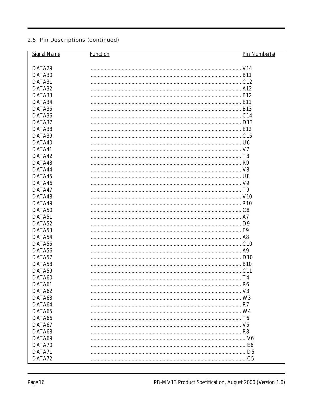| <b>Signal Name</b> | <b>Function</b> | Pin Number(s) |
|--------------------|-----------------|---------------|
|                    |                 |               |
| DATA29             |                 |               |
| DATA30             |                 |               |
| DATA31             |                 |               |
| DATA32             |                 |               |
| DATA33             |                 |               |
| DATA34             |                 |               |
| DATA35             |                 |               |
| DATA36             |                 |               |
| DATA37             |                 |               |
| DATA38             |                 |               |
| DATA39             |                 |               |
| DATA40             |                 |               |
| DATA41             |                 |               |
| DATA42             |                 |               |
| DATA43             |                 |               |
| DATA44             |                 |               |
| DATA45             |                 |               |
| DATA46             |                 |               |
| DATA47             |                 |               |
| DATA48             |                 |               |
| DATA49             |                 |               |
| DATA50             |                 |               |
| DATA51             |                 |               |
| DATA52             |                 |               |
| DATA53             |                 |               |
| DATA54             |                 |               |
| DATA55             |                 |               |
| DATA56             |                 |               |
| DATA57             |                 |               |
| DATA58             |                 |               |
| DATA59             |                 |               |
| DATA60             |                 | TA            |
| DATA61             |                 |               |
| DATA62             |                 |               |
| DATA63             |                 |               |
| DATA64             |                 |               |
| DATA65             |                 |               |
| DATA66             |                 |               |
| DATA67             |                 |               |
| DATA68             |                 |               |
| DATA69             |                 |               |
| DATA70             |                 |               |
| DATA71             |                 |               |
| DATA72             |                 |               |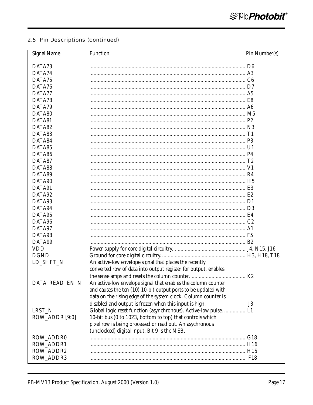| <b>Signal Name</b> | <b>Function</b>                                                                                          | Pin Number(s) |
|--------------------|----------------------------------------------------------------------------------------------------------|---------------|
| DATA73             |                                                                                                          |               |
| DATA74             |                                                                                                          |               |
| DATA75             |                                                                                                          |               |
| DATA76             |                                                                                                          |               |
| DATA77             |                                                                                                          |               |
| DATA78             |                                                                                                          |               |
| DATA79             |                                                                                                          |               |
| DATA80             |                                                                                                          |               |
| DATA81             |                                                                                                          |               |
| DATA82             |                                                                                                          |               |
| DATA83             |                                                                                                          |               |
| DATA84             |                                                                                                          |               |
| DATA85             |                                                                                                          |               |
| DATA86             |                                                                                                          |               |
| DATA87             |                                                                                                          |               |
| DATA88             |                                                                                                          |               |
| DATA89             |                                                                                                          |               |
| DATA90             |                                                                                                          |               |
| DATA91             |                                                                                                          |               |
| DATA92             |                                                                                                          |               |
| DATA93             |                                                                                                          |               |
| DATA94             |                                                                                                          |               |
| DATA95             |                                                                                                          |               |
| DATA96             |                                                                                                          |               |
| DATA97             |                                                                                                          |               |
| DATA98             |                                                                                                          |               |
| DATA99             |                                                                                                          |               |
| <b>VDD</b>         |                                                                                                          |               |
| <b>DGND</b>        |                                                                                                          |               |
| LD_SHFT_N          | An active-low envelope signal that places the recently                                                   |               |
|                    | converted row of data into output register for output, enables                                           |               |
|                    |                                                                                                          |               |
|                    |                                                                                                          |               |
| DATA_READ_EN_N     | An active-low envelope signal that enables the column counter                                            |               |
|                    | and causes the ten (10) 10-bit output ports to be updated with                                           |               |
|                    | data on the rising edge of the system clock. Column counter is                                           |               |
|                    | disabled and output is frozen when this input is high.                                                   | J3            |
| LRST_N             | Global logic reset function (asynchronous). Active-low pulse.  L1                                        |               |
| ROW_ADDR [9:0]     | 10-bit bus (0 to 1023, bottom to top) that controls which                                                |               |
|                    | pixel row is being processed or read out. An asychronous<br>(unclocked) digital input. Bit 9 is the MSB. |               |
| ROW_ADDR0          |                                                                                                          |               |
| ROW_ADDR1          |                                                                                                          |               |
| ROW_ADDR2          |                                                                                                          |               |
| ROW_ADDR3          |                                                                                                          |               |
|                    |                                                                                                          |               |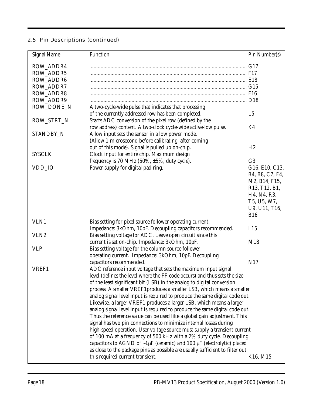| <b>Signal Name</b> | <b>Function</b>                                                                      | Pin Number(s)   |
|--------------------|--------------------------------------------------------------------------------------|-----------------|
| ROW_ADDR4          |                                                                                      |                 |
| <b>ROW_ADDR5</b>   |                                                                                      |                 |
| <b>ROW ADDR6</b>   |                                                                                      |                 |
| ROW_ADDR7          |                                                                                      |                 |
| <b>ROW_ADDR8</b>   |                                                                                      |                 |
| ROW_ADDR9          |                                                                                      |                 |
| ROW_DONE_N         | A two-cycle-wide pulse that indicates that processing                                |                 |
|                    | of the currently addressed row has been completed.                                   | L <sub>5</sub>  |
| ROW_STRT_N         | Starts ADC conversion of the pixel row (defined by the                               |                 |
|                    | row address) content. A two-clock cycle-wide active-low pulse.                       | K4              |
| STANDBY_N          | A low input sets the sensor in a low power mode.                                     |                 |
|                    | (Allow 1 microsecond before calibrating, after coming                                |                 |
|                    | out of this mode). Signal is pulled up on-chip.                                      | H <sub>2</sub>  |
| <b>SYSCLK</b>      | Clock input for entire chip. Maximum design                                          |                 |
|                    | frequency is 70 MHz $(50\%, \pm 5\%,$ duty cycle).                                   | G <sub>3</sub>  |
| VDD_IO             | Power supply for digital pad ring.                                                   | G16, E10, C13,  |
|                    |                                                                                      | B4, B8, C7, F4, |
|                    |                                                                                      | M2, B14, F15,   |
|                    |                                                                                      | R13, T12, B1,   |
|                    |                                                                                      | H4, N4, R3,     |
|                    |                                                                                      | T5, U5, W7,     |
|                    |                                                                                      | U9, U11, T16,   |
|                    |                                                                                      | <b>B16</b>      |
| VLN1               | Bias setting for pixel source follower operating current.                            |                 |
|                    | Impedance: 3kOhm, 10pF. Decoupling capacitors recommended.                           | L15             |
| VLN <sub>2</sub>   | Bias setting voltage for ADC. Leave open circuit since this                          |                 |
|                    | current is set on-chip. Impedance: 3kOhm, 10pF.                                      | M18             |
| <b>VLP</b>         | Bias setting voltage for the column source follower                                  |                 |
|                    | operating current. Impedance: 3kOhm, 10pF. Decoupling                                |                 |
|                    | capacitors recommended.                                                              | N17             |
| VREF1              | ADC reference input voltage that sets the maximum input signal                       |                 |
|                    | level (defines the level where the FF code occurs) and thus sets the size            |                 |
|                    | of the least significant bit (LSB) in the analog to digital conversion               |                 |
|                    | process. A smaller VREF1 produces a smaller LSB, which means a smaller               |                 |
|                    |                                                                                      |                 |
|                    | analog signal level input is required to produce the same digital code out.          |                 |
|                    | Likewise, a larger VREF1 produces a larger LSB, which means a larger                 |                 |
|                    | analog signal level input is required to produce the same digital code out.          |                 |
|                    | Thus the reference value can be used like a global gain adjustment. This             |                 |
|                    | signal has two pin connections to minimize internal losses during                    |                 |
|                    | high-speed operation. User voltage source must supply a transient current            |                 |
|                    | of 100 mA at a frequency of 500 kHz with a 2% duty cycle. Decoupling                 |                 |
|                    | capacitors to AGND of $\sim 1 \mu$ F (ceramic) and 100 $\mu$ F (electrolytic) placed |                 |
|                    | as close to the package pins as possible are usually sufficient to filter out        |                 |
|                    | this required current transient.                                                     | K16, M15        |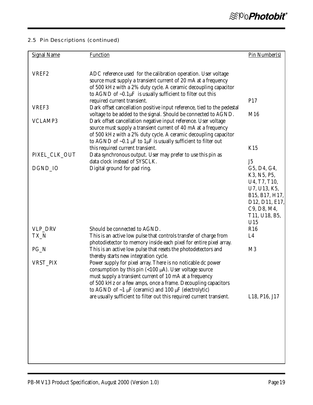| <b>Signal Name</b> | <b>Function</b>                                                                                                                         | Pin Number(s)                                         |
|--------------------|-----------------------------------------------------------------------------------------------------------------------------------------|-------------------------------------------------------|
|                    |                                                                                                                                         |                                                       |
| VREF <sub>2</sub>  | ADC reference used for the calibration operation. User voltage                                                                          |                                                       |
|                    | source must supply a transient current of 20 mA at a frequency                                                                          |                                                       |
|                    | of 500 kHz with a 2% duty cycle. A ceramic decoupling capacitor<br>to AGND of $\sim 0.1 \mu$ F is usually sufficient to filter out this |                                                       |
|                    | required current transient.                                                                                                             | P17                                                   |
| VREF3              | Dark offset cancellation positive input reference, tied to the pedestal                                                                 |                                                       |
| <b>VCLAMP3</b>     | voltage to be added to the signal. Should be connected to AGND.                                                                         | M16                                                   |
|                    | Dark offset cancellation negative input reference. User voltage<br>source must supply a transient current of 40 mA at a frequency       |                                                       |
|                    | of 500 kHz with a 2% duty cycle. A ceramic decoupling capacitor                                                                         |                                                       |
|                    | to AGND of $\sim 0.1 \mu$ F to 1 $\mu$ F is usually sufficient to filter out                                                            |                                                       |
| PIXEL_CLK_OUT      | this required current transient.<br>Data synchronous output. User may prefer to use this pin as                                         | K15                                                   |
|                    | data clock instead of SYSCLK.                                                                                                           | J <sub>5</sub>                                        |
| DGND IO            | Digital ground for pad ring.                                                                                                            | G5, D4, G4,                                           |
|                    |                                                                                                                                         | K3, N5, P5,                                           |
|                    |                                                                                                                                         | U4, T7, T10,<br>U7, U13, K5,                          |
|                    |                                                                                                                                         | B15, B17, H17,                                        |
|                    |                                                                                                                                         | D <sub>12</sub> , D <sub>11</sub> , E <sub>17</sub> , |
|                    |                                                                                                                                         | C9, D8, M4,<br>T11, U18, B5,                          |
|                    |                                                                                                                                         | U15                                                   |
| VLP_DRV            | Should be connected to AGND.                                                                                                            | R16                                                   |
| TX_N               | This is an active low pulse that controls transfer of charge from                                                                       | L4                                                    |
| $PG_N$             | photodietector to memory inside each pixel for entire pixel array.<br>This is an active low pulse that resets the photodetectors and    | M <sub>3</sub>                                        |
|                    | thereby starts new integration cycle.                                                                                                   |                                                       |
| VRST_PIX           | Power supply for pixel array. There is no noticable dc power                                                                            |                                                       |
|                    | consumption by this pin $(<100 \mu A$ ). User voltage source                                                                            |                                                       |
|                    | must supply a transient current of 10 mA at a frequency<br>of 500 kHz or a few amps, once a frame. Decoupling capacitors                |                                                       |
|                    | to AGND of $\sim$ 1 µF (ceramic) and 100 µF (electrolytic)                                                                              |                                                       |
|                    | are usually sufficient to filter out this required current transient.                                                                   | L18, P16, J17                                         |
|                    |                                                                                                                                         |                                                       |
|                    |                                                                                                                                         |                                                       |
|                    |                                                                                                                                         |                                                       |
|                    |                                                                                                                                         |                                                       |
|                    |                                                                                                                                         |                                                       |
|                    |                                                                                                                                         |                                                       |
|                    |                                                                                                                                         |                                                       |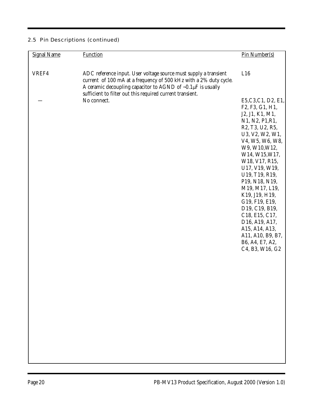| <b>Signal Name</b> | <b>Function</b>                                                                                                                                                                                                                                                             | Pin Number(s)                                                                                                                                                                                                                                                                                                                                                                                                                             |
|--------------------|-----------------------------------------------------------------------------------------------------------------------------------------------------------------------------------------------------------------------------------------------------------------------------|-------------------------------------------------------------------------------------------------------------------------------------------------------------------------------------------------------------------------------------------------------------------------------------------------------------------------------------------------------------------------------------------------------------------------------------------|
| VREF4              | ADC reference input. User voltage source must supply a transient<br>current of 100 mA at a frequency of 500 kHz with a 2% duty cycle.<br>A ceramic decoupling capacitor to AGND of $\sim 0.1 \mu$ F is usually<br>sufficient to filter out this required current transient. | L16                                                                                                                                                                                                                                                                                                                                                                                                                                       |
|                    | No connect.                                                                                                                                                                                                                                                                 | E5, C3, C1, D2, E1,<br>F2, F3, G1, H1,<br>J2, J1, K1, M1,<br>N1, N2, P1, R1,<br>R2, T3, U2, R5,<br>U3, V2, W2, W1,<br>V4, W5, W6, W8,<br>W9, W10, W12,<br>W14, W15, W17,<br>W18, V17, R15,<br>U17, V19, W19,<br>U19, T19, R19,<br>P19, N18, N19,<br>M19, M17, L19,<br>K19, J19, H19,<br>G19, F19, E19,<br>D19, C19, B19,<br>C18, E15, C17,<br>D16, A19, A17,<br>A15, A14, A13,<br>A11, A10, B9, B7,<br>B6, A4, E7, A2,<br>C4, B3, W16, G2 |
|                    |                                                                                                                                                                                                                                                                             |                                                                                                                                                                                                                                                                                                                                                                                                                                           |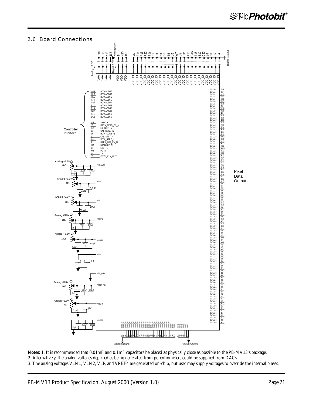#### 2.6 Board Connections



**Notes:** 1. It is recommended that 0.01mF and 0.1mF capacitors be placed as physically close as possible to the PB-MV13's package. 2. Alternatively, the analog voltages depicted as being generated from potentiometers could be supplied from DACs. 3. The analog voltages VLN1, VLN2, VLP, and VREF4 are generated on-chip, but user may supply voltages to override the internal biases.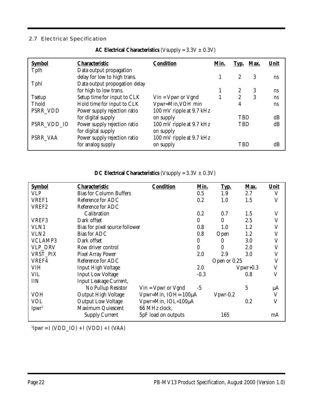## 2.7 Electrical Specification

| <b>Symbol</b> | Characteristic                | <b>Condition</b>            | Min. | Typ.       | Max. | Unit |
|---------------|-------------------------------|-----------------------------|------|------------|------|------|
| Tplh          | Data output propagation       |                             |      |            |      |      |
|               | delay for low to high trans.  |                             |      | 2          | 3    | ns   |
| Tphl          | Data output propogation delay |                             |      |            |      |      |
|               | for high to low trans.        |                             |      | 2          | 3    | ns   |
| <b>Tsetup</b> | Setup time for input to CLK   | $V$ in = $V$ pwr or $V$ gnd |      | 2          | 3    | ns   |
| Thold         | Hold time for input to CLK    | Vpwr=Min, VOH min           |      | 4          |      | ns   |
| PSRR_VDD      | Power supply rejection ratio  | 100 mV ripple at 9.7 kHz    |      |            |      |      |
|               | for digital supply            | on supply                   |      | <b>TBD</b> |      | dB   |
| PSRR_VDD_IO   | Power supply rejection ratio  | 100 mV ripple at 9.7 kHz    |      | TBD        |      | dB   |
|               | for digital supply            | on supply                   |      |            |      |      |
| PSRR VAA      | Power supply rejection ratio  | 100 mV ripple at 9.7 kHz    |      |            |      |      |
|               | for analog supply             | on supply                   |      | TBD        |      | dB   |

**AC Electrical Characteristics** (Vsupply = 3.3V ± 0.3V)

| DC Electrical Characteristics (Vsupply = $3.3V \pm 0.3V$ ) |  |
|------------------------------------------------------------|--|
|------------------------------------------------------------|--|

| <b>Symbol</b>                | Characteristic                 | <b>Condition</b>            | Min.             | Typ.         | Max.        | Unit        |
|------------------------------|--------------------------------|-----------------------------|------------------|--------------|-------------|-------------|
| <b>VLP</b>                   | <b>Bias for Column Buffers</b> |                             | 0.5              | 1.9          | 2.7         | V           |
| VREF1                        | Reference for ADC              |                             | 0.2              | 1.0          | 1.5         | $\mathbf V$ |
| VREF <sub>2</sub>            | Reference for ADC              |                             |                  |              |             |             |
|                              | Calibration                    |                             | 0.2              | 0.7          | 1.5         | V           |
| VREF3                        | Dark offset                    |                             | $\theta$         | $\mathbf{0}$ | 2.5         | V           |
| VLN1                         | Bias for pixel source follower |                             | 0.8              | 1.0          | 1.2         | V           |
| VLN <sub>2</sub>             | <b>Bias for ADC</b>            |                             | 0.8              | Open         | 1.2         | V           |
| <b>VCLAMP3</b>               | Dark offset                    |                             | 0                | $\theta$     | 3.0         | V           |
| VLP_DRV                      | Row driver control             |                             | $\boldsymbol{0}$ | 0            | 2.0         | V           |
| VRST_PIX                     | Pixel Array Power              |                             | 2.0              | 2.9          | 3.0         | V           |
| VREF4                        | Reference for ADC              |                             |                  | Open or 0.25 |             | V           |
| <b>VIH</b>                   | <b>Input High Voltage</b>      |                             | 2.0              |              | $V$ pwr+0.3 | $\mathbf V$ |
| VIL                          | <b>Input Low Voltage</b>       |                             | $-0.3$           |              | 0.8         | V           |
| <b>IIN</b>                   | Input Leakage Current,         |                             |                  |              |             |             |
|                              | No Pullup Resistor             | $V$ in = $V$ pwr or $V$ gnd | $-5$             |              | 5           | μA          |
| <b>VOH</b>                   | Output High Voltage            | Vpwr=Min, IOH=-100µA        |                  | $V$ pwr-0.2  |             | $\mathbf V$ |
| <b>VOL</b>                   | <b>Output Low Voltage</b>      | Vpwr=Min, IOL=100µA         |                  |              | 0.2         | V           |
| I <sub>pur<sup>1</sup></sub> | Maximum Quiescent              | 66 MHz clock,               |                  |              |             |             |
|                              | <b>Supply Current</b>          | 5pF load on outputs         |                  | 165          |             | mA          |

 $\text{I}$ [pwr = I (VDD\_IO) + I (VDD) + I (VAA)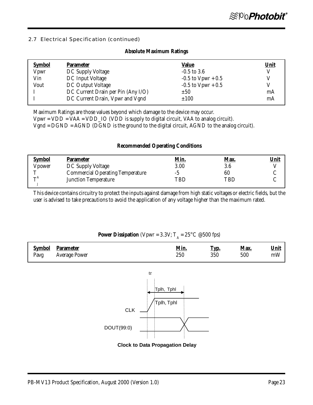#### 2.7 Electrical Specification (continued)

#### **Absolute Maximum Ratings**

| <b>Symbol</b> | <b>Parameter</b>                   | <u>Value</u>         | <u>Unit</u> |
|---------------|------------------------------------|----------------------|-------------|
| Vpwr          | DC Supply Voltage                  | $-0.5$ to 3.6        | V           |
| Vin           | DC Input Voltage                   | $-0.5$ to Vpwr + 0.5 |             |
| Vout          | DC Output Voltage                  | $-0.5$ to Vpwr + 0.5 |             |
|               | DC Current Drain per Pin (Any I/O) | ±50                  | mA          |
|               | DC Current Drain, Vpwr and Vgnd    | ±100                 | mA          |

Maximum Ratings are those values beyond which damage to the device may occur.

Vpwr = VDD = VAA = VDD\_IO (VDD is supply to digital circuit, VAA to analog circuit).

Vgnd = DGND = AGND (DGND is the ground to the digital circuit, AGND to the analog circuit).

#### **Recommended Operating Conditions**

| <b>Symbol</b>             | <b>Parameter</b>                        | <u>Min.</u> | <u>Max.</u> | <u>Unit</u> |
|---------------------------|-----------------------------------------|-------------|-------------|-------------|
| Vpower                    | DC Supply Voltage                       | 3.00        | 3.6         |             |
| m                         | <b>Commercial Operating Temperature</b> |             | 60          |             |
| $\mathbf{H}^{\mathbf{A}}$ | <b>Junction Temperature</b>             | TBD         | TBD         |             |

This device contains circuitry to protect the inputs against damage from high static voltages or electric fields, but the user is advised to take precautions to avoid the application of any voltage higher than the maximum rated.

## **Power Dissipation** (Vpwr =  $3.3$ V; T<sub>A</sub> =  $25^{\circ}$ C @500 fps)

| <b>Symbol</b> | <b>Parameter</b>     | <u>Min.</u> | <u>Тур.</u> | Max. | <b>Unit</b> |
|---------------|----------------------|-------------|-------------|------|-------------|
| Pavg          | <b>Average Power</b> | 250         | $350\,$     | 500  | mW          |
|               |                      |             |             |      |             |



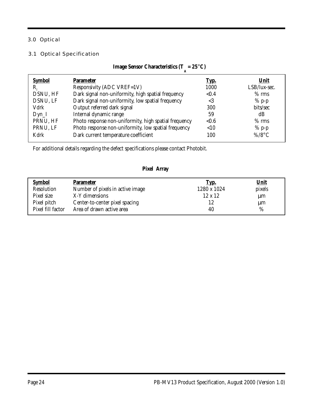## 3.0 Optical

#### 3.1 Optical Specification

| <b>Symbol</b> | <b>Parameter</b>                                      | <u>Тур.</u> | Unit         |
|---------------|-------------------------------------------------------|-------------|--------------|
| $\rm R$       | Responsivity (ADC VREF=1V)                            | 1000        | LSB/lux-sec. |
| DSNU, HF      | Dark signal non-uniformity, high spatial frequency    | < 0.4       | $%$ rms      |
| DSNU, LF      | Dark signal non-uniformity, low spatial frequency     | $<$ 3       | $%$ p-p      |
| Vdrk          | Output referred dark signal                           | 300         | bits/sec     |
| $Dyn_I$       | Internal dynamic range                                | 59          | dB           |
| PRNU, HF      | Photo response non-uniformity, high spatial frequency | < 0.6       | $%$ rms      |
| PRNU, LF      | Photo response non-uniformity, low spatial frequency  | < 10        | $%$ p-p      |
| Kdrk          | Dark current temperature coefficient                  | 100         | $\%$ /8°C    |
|               |                                                       |             |              |

**Image Sensor Characteristics (** $T_A = 25^{\circ}C$ **)** 

For additional details regarding the defect specifications please contact Photobit.

## **Pixel Array**

| <b>Symbol</b>     | <b>Parameter</b>                 | <u>Тур.</u>    | <u>Unit</u> |
|-------------------|----------------------------------|----------------|-------------|
| Resolution        | Number of pixels in active image | 1280 x 1024    | pixels      |
| Pixel size        | X-Y dimensions                   | $12 \times 12$ | $\mu$ m     |
| Pixel pitch       | Center-to-center pixel spacing   | 12             | $\mu$ m     |
| Pixel fill factor | Area of drawn active area        | 40             | %           |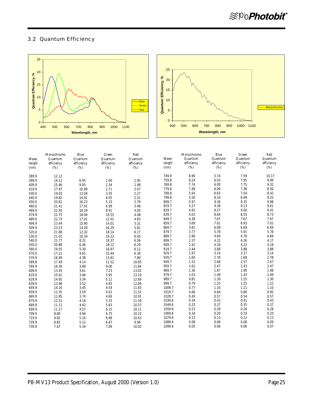#### 3.2 Quantum Efficiency





|        | Monochrome | Blue       | Green      | Red        |        | Monochrome | Blue       | Green      | Red        |
|--------|------------|------------|------------|------------|--------|------------|------------|------------|------------|
| Wave-  | Quantum    | Quantum    | Quantum    | Quantum    | Wave-  | Quantum    | Quantum    | Quantum    | Quantum    |
| length | efficiency | efficiency | efficiency | efficiency | length | efficiency | efficiency | efficiency | efficiency |
| (nm)   | (%)        | (%)        | (%)        | (%)        | (nm)   | (%)        | (%)        | (%)        | (%)        |
| 389.9  | 12.12      |            |            |            | 749.9  | 8.90       | 5.74       | 7.59       | 10.17      |
| 399.9  | 14.12      | 6.95       | 2.00       | 1.95       | 759.8  | 8.24       | 6.03       | 7.95       | 9.99       |
| 409.9  | 15.46      | 9.05       | 2.34       | 1.98       | 769.8  | 7.74       | 6.00       | 7.75       | 9.32       |
| 419.9  | 17.97      | 10.99      | 2.71       | 2.07       | 779.8  | 7.48       | 6.00       | 7.38       | 8.50       |
| 430.0  | 19.03      | 13.04      | 3.35       | 2.27       | 789.8  | 5.93       | 6.63       | 7.54       | 8.42       |
| 440.0  | 19.82      | 14.91      | 4.05       | 2.51       | 799.8  | 5.50       | 8.10       | 8.49       | 9.25       |
| 450.0  | 20.81      | 16.23      | 5.10       | 2.79       | 809.7  | 5.97       | 9.36       | 9.35       | 9.98       |
| 460.0  | 21.41      | 17.91      | 6.99       | 3.46       | 819.7  | 5.27       | 9.38       | 9.13       | 9.61       |
| 469.9  | 22.50      | 18.29      | 8.91       | 4.05       | 829.7  | 4.92       | 9.27       | 9.00       | 9.41       |
| 479.9  | 22.75      | 18.06      | 10.55      | 4.48       | 839.7  | 5.03       | 8.64       | 8.55       | 8.73       |
| 489.9  | 22.73      | 17.01      | 12.01      | 4.83       | 849.7  | 4.38       | 7.67       | 7.67       | 7.67       |
| 499.9  | 23.44      | 15.90      | 14.01      | 5.31       | 859.7  | 3.69       | 7.01       | 6.93       | 7.01       |
| 509.9  | 23.23      | 14.28      | 16.29      | 5.81       | 869.7  | 3.81       | 6.69       | 6.69       | 6.69       |
| 520.0  | 21.88      | 12.32      | 18.14      | 6.17       | 879.7  | 3.77       | 5.78       | 5.91       | 5.78       |
| 530.0  | 21.01      | 10.34      | 19.23      | 6.45       | 889.7  | 2.96       | 4.69       | 4.78       | 4.69       |
| 540.0  | 21.77      | 8.32       | 19.37      | 6.56       | 899.7  | 2.37       | 4.22       | 4.26       | 4.17       |
| 550.0  | 20.88      | 6.46       | 18.12      | 6.29       | 909.7  | 2.42       | 4.18       | 4.22       | 4.18       |
| 560.0  | 19.55      | 5.30       | 16.97      | 6.12       | 919.7  | 2.44       | 3.88       | 3.88       | 3.88       |
| 570.0  | 17.21      | 4.65       | 15.44      | 6.36       | 929.7  | 1.97       | 3.14       | 3.17       | 3.14       |
| 579.9  | 18.49      | 4.38       | 13.81      | 7.80       | 939.7  | 1.60       | 2.78       | 2.68       | 2.78       |
| 589.8  | 17.49      | 4.14       | 11.52      | 10.05      | 949.7  | 1.52       | 2.68       | 2.57       | 2.67       |
| 599.9  | 16.39      | 3.80       | 9.00       | 11.84      | 959.7  | 1.62       | 2.47       | 2.43       | 2.47       |
| 609.9  | 15.93      | 3.61       | 7.23       | 13.01      | 969.7  | 1.36       | 1.97       | 1.90       | 1.98       |
| 619.9  | 15.01      | 3.46       | 5.95       | 13.19      | 979.7  | 1.03       | 1.49       | 1.43       | 1.49       |
| 629.9  | 14.92      | 3.34       | 5.12       | 12.69      | 989.7  | 0.81       | 1.30       | 1.25       | 1.30       |
| 639.9  | 13.98      | 3.52       | 4.95       | 12.89      | 999.7  | 0.79       | 1.25       | 1.25       | 1.22       |
| 649.9  | 14.16      | 3.45       | 4.54       | 11.83      | 1009.7 | 0.77       | 1.10       | 1.11       | 1.10       |
| 659.9  | 11.55      | 3.59       | 4.52       | 11.52      | 1019.7 | 0.66       | 0.84       | 0.80       | 0.85       |
| 669.9  | 11.85      | 3.74       | 4.69       | 10.91      | 1029.7 | 0.45       | 0.57       | 0.54       | 0.57       |
| 679.9  | 12.51      | 4.18       | 5.32       | 11.18      | 1039.6 | 0.34       | 0.43       | 0.41       | 0.43       |
| 689.9  | 11.11      | 4.42       | 5.83       | 10.57      | 1049.6 | 0.25       | 0.37       | 0.35       | 0.37       |
| 699.9  | 11.17      | 4.57       | 6.15       | 10.11      | 1059.6 | 0.23       | 0.28       | 0.28       | 0.28       |
| 709.9  | 8.80       | 4.94       | 6.75       | 10.22      | 1069.6 | 0.16       | 0.20       | 0.19       | 0.20       |
| 719.9  | 9.82       | 5.16       | 6.98       | 10.43      | 1079.6 | 0.13       | 0.13       | 0.12       | 0.13       |
| 729.9  | 8.82       | 5.12       | 6.87       | 9.99       | 1089.6 | 0.08       | 0.08       | 0.08       | 0.09       |
| 739.9  | 7.67       | 5.34       | 7.09       | 10.02      | 1099.6 | 0.05       | 0.06       | 0.06       | 0.07       |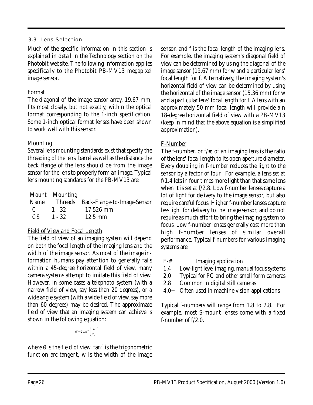## 3.3 Lens Selection

Much of the specific information in this section is explained in detail in the Technology section on the Photobit website. The following information applies specifically to the Photobit PB-MV13 megapixel image sensor.

## Format

The diagonal of the image sensor array, 19.67 mm, fits most closely, but not exactly, within the optical format corresponding to the 1-inch specification. Some 1-inch optical format lenses have been shown to work well with this sensor.

## **Mounting**

Several lens mounting standards exist that specify the threading of the lens' barrel as well as the distance the back flange of the lens should be from the image sensor for the lens to properly form an image. Typical lens mounting standards for the PB-MV13 are:

|              | Mount Mounting |                                          |
|--------------|----------------|------------------------------------------|
|              |                | Name Threads Back-Flange-to-Image-Sensor |
| $C = 1 - 32$ |                | 17.526 mm                                |
| CS           | $1 - 32$       | $12.5 \text{ mm}$                        |

## Field of View and Focal Length

The field of view of an imaging system will depend on both the focal length of the imaging lens and the width of the image sensor. As most of the image information humans pay attention to generally falls within a 45-degree horizontal field of view, many camera systems attempt to imitate this field of view. However, in some cases a telephoto system (with a narrow field of view, say less than 20 degrees), or a wide angle system (with a wide field of view, say more than 60 degrees) may be desired. The approximate field of view that an imaging system can achieve is shown in the following equation:

 $heta \approx 2 \tan^{-1} \left( \frac{w}{2f} \right)$ *w*  $heta \approx 2 \tan^{-1} \left( \frac{1}{2} \right)$ 

where  $\theta$  is the field of view, tan<sup>-1</sup> is the trigonometric function arc-tangent, w is the width of the image sensor, and f is the focal length of the imaging lens. For example, the imaging system's diagonal field of view can be determined by using the diagonal of the image sensor (19.67 mm) for w and a particular lens' focal length for f. Alternatively, the imaging system's horizontal field of view can be determined by using the horizontal of the image sensor (15.36 mm) for w and a particular lens' focal length for f. A lens with an approximately 50 mm focal length will provide a n 18-degree horizontal field of view with a PB-MV13 (keep in mind that the above equation is a simplified approximation).

## F-Number

The f-number, or f/#, of an imaging lens is the ratio of the lens' focal length to its open aperture diameter. Every doubling in f-number reduces the light to the sensor by a factor of four. For example, a lens set at f/1.4 lets in four times more light than that same lens when it is set at f/2.8. Low f-number lenses capture a lot of light for delivery to the image sensor, but also require careful focus. Higher f-number lenses capture less light for delivery to the image sensor, and do not require as much effort to bring the imaging system to focus. Low f-number lenses generally cost more than high f-number lenses of similar overall performance. Typical f-numbers for various imaging systems are:

- F-# Imaging application
- 1.4 Low-light level imaging, manual focus systems
- 2.0 Typical for PC and other small form cameras
- 2.8 Common in digital still cameras
- 4.0+ Often used in machine vision applications

Typical f-numbers will range from 1.8 to 2.8. For example, most S-mount lenses come with a fixed f-number of f/2.0.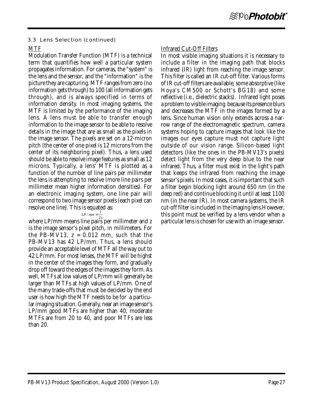#### 3.3 Lens Selection (continued)

### MTF

Modulation Transfer Function (MTF) is a technical term that quantifies how well a particular system propagates information. For cameras, the "system" is the lens and the sensor, and the "information" is the picture they are capturing. MTF ranges from zero (no information gets through) to 100 (all information gets through), and is always specified in terms of information density. In most imaging systems, the MTF is limited by the performance of the imaging lens. A lens must be able to transfer enough information to the image sensor to be able to resolve details in the image that are as small as the pixels in the image sensor. The pixels are set on a 12-micron pitch (the center of one pixel is 12 microns from the center of its neighboring pixel). Thus, a lens used should be able to resolve image features as small as 12 microns. Typically, a lens' MTF is plotted as a function of the number of line pairs per millimeter the lens is attempting to resolve (more line pairs per millimeter mean higher information densities). For an electronic imaging system, one line pair will correspond to two image sensor pixels (each pixel can resolve one line). This is equated as:

 $L_P / mm = \frac{1}{2z}$ where LP/mm means line pairs per millimeter and z is the image sensor's pixel pitch, in millimeters. For the PB-MV13,  $z = 0.012$  mm, such that the PB-MV13 has 42 LP/mm. Thus, a lens should provide an acceptable level of MTF all the way out to 42 LP/mm. For most lenses, the MTF will be highst in the center of the images they form, and gradually drop off toward the edges of the images they form. As well, MTFs at low values of LP/mm will generally be larger than MTFs at high values of LP/mm. One of the many trade-offs that must be decided by the end user is how high the MTF needs to be for a particular imaging situation. Generally, near an image sensor's LP/mm good MTFs are higher than 40, moderate MTFs are from 20 to 40, and poor MTFs are less than 20.

#### Infrared Cut-Off Filters

In most visible imaging situations it is necessary to include a filter in the imaging path that blocks infrared (IR) light from reaching the image sensor. This filter is called an IR cut-off filter. Various forms of IR cut-off filters are available, some absorptive (like Hoya's CM500 or Schott's BG18) and some reflective (i.e., dielectric stacks). Infrared light poses a problem to visible imaging because its presence blurs and decreases the MTF in the images formed by a lens. Since human vision only extends across a narrow range of the electromagnetic spectrum, camera systems hoping to capture images that look like the images our eyes capture must not capture light outside of our vision range. Silicon-based light detectors (like the ones in the PB-MV13's pixels) detect light from the very deep blue to the near infrared. Thus, a filter must exist in the light's path that keeps the infrared from reaching the image sensor's pixels. In most cases, it is important that such a filter begin blocking light around 650 nm (in the deep red) and continue blocking it until at least 1100 nm (in the near IR). In most camera systems, the IR cut-off filter is included in the imaging lens.However, this point must be verified by a lens vendor when a particular lens is chosen for use with an image sensor.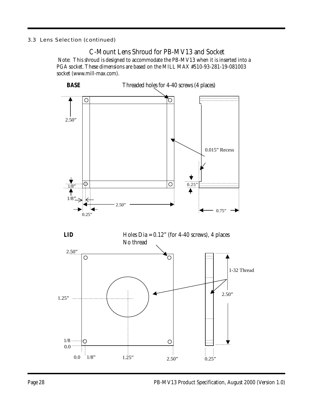#### 3.3 Lens Selection (continued)

## C-Mount Lens Shroud for PB-MV13 and Socket Note: This shroud is designed to accommodate the PB-MV13 when it is inserted into a PGA socket. These dimensions are based on the MILL MAX #510-93-281-19-081003 socket (www.mill-max.com).

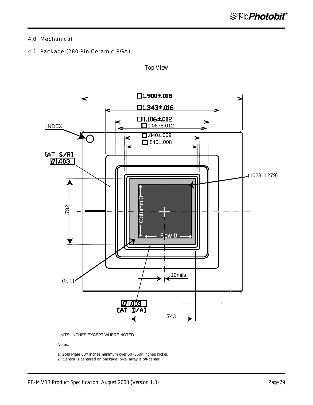#### 4.0 Mechanical

4.1 Package (280-Pin Ceramic PGA)



Top View

UNITS: INCHES EXCEPT WHERE NOTED

#### Notes:

1. Gold Plate 60m inches minimum over 50~350m inches nickel.

2. Sensor is centered on package, pixel array is off-center.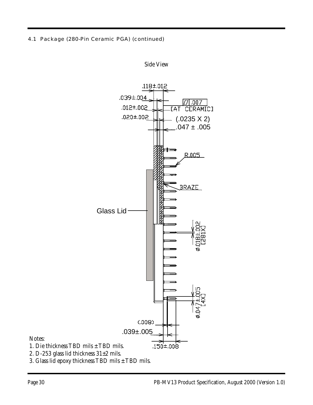4.1 Package (280-Pin Ceramic PGA) (continued)



Side View

Notes:

- 1. Die thickness TBD mils ± TBD mils.
- 2. D-253 glass lid thickness  $31\pm2$  mils.
- 3. Glass lid epoxy thickness TBD mils ± TBD mils.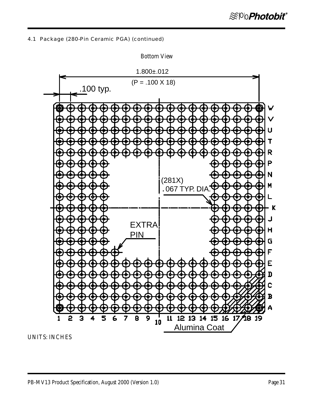4.1 Package (280-Pin Ceramic PGA) (continued)



Bottom View

UNITS: INCHES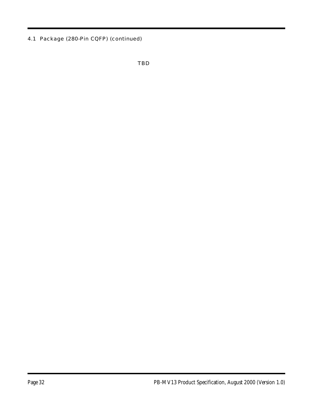4.1 Package (280-Pin CQFP) (continued)

TBD